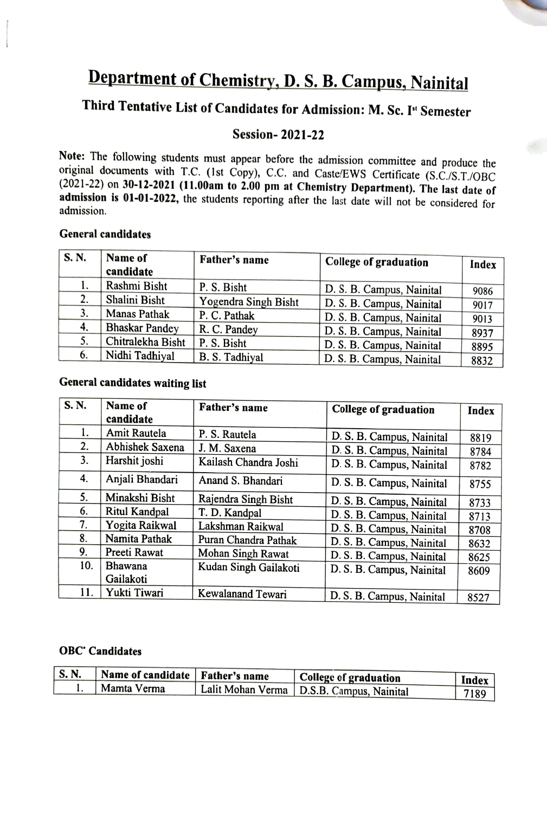# Department of Chemistry, D. S. B. Campus, Nainital

# Third Tentative List of Candidates for Admission: M. Sc. I" Semester

#### Session-2021-22

Note: The following students must appear before the admission committee and produce the original documents with T.C. (1st Copy), C.C. and Caste/EWS Certificate (S.C./S.T./OBC (2021-22) on 30-12-2021 (11.00am to 2.00 pm at admission is 01-01-2022, the students reporting after the last date will not be considered for admission.

#### General candidates

| S. N. | Name of<br>candidate  | Father's name        | <b>College of graduation</b> | Index |
|-------|-----------------------|----------------------|------------------------------|-------|
|       | Rashmi Bisht          | P. S. Bisht          | D. S. B. Campus, Nainital    | 9086  |
| 2.    | Shalini Bisht         | Yogendra Singh Bisht | D. S. B. Campus, Nainital    | 9017  |
| 3.    | <b>Manas Pathak</b>   | P. C. Pathak         | D. S. B. Campus, Nainital    | 9013  |
| 4.    | <b>Bhaskar Pandey</b> | R. C. Pandey         | D. S. B. Campus, Nainital    | 8937  |
| 5.    | Chitralekha Bisht     | P. S. Bisht          | D. S. B. Campus, Nainital    | 8895  |
| 6.    | Nidhi Tadhiyal        | B. S. Tadhiyal       | D. S. B. Campus, Nainital    | 8832  |

#### General candidates waiting list

| S.N. | Name of<br>candidate | Father's name         | College of graduation     | <b>Index</b> |
|------|----------------------|-----------------------|---------------------------|--------------|
| 1.   | Amit Rautela         | P. S. Rautela         | D. S. B. Campus, Nainital | 8819         |
| 2.   | Abhishek Saxena      | J. M. Saxena          | D. S. B. Campus, Nainital | 8784         |
| 3.   | Harshit joshi        | Kailash Chandra Joshi | D. S. B. Campus, Nainital | 8782         |
| 4.   | Anjali Bhandari      | Anand S. Bhandari     | D. S. B. Campus, Nainital | 8755         |
| 5.   | Minakshi Bisht       | Rajendra Singh Bisht  | D. S. B. Campus, Nainital | 8733         |
| 6.   | Ritul Kandpal        | T. D. Kandpal         | D. S. B. Campus, Nainital | 8713         |
| 7.   | Yogita Raikwal       | Lakshman Raikwal      | D. S. B. Campus, Nainital | 8708         |
| 8.   | Namita Pathak        | Puran Chandra Pathak  | D. S. B. Campus, Nainital | 8632         |
| 9.   | Preeti Rawat         | Mohan Singh Rawat     | D. S. B. Campus, Nainital | 8625         |
| 10.  | Bhawana              | Kudan Singh Gailakoti | D. S. B. Campus, Nainital | 8609         |
|      | Gailakoti            |                       |                           |              |
| 11.  | Yukti Tiwari         | Kewalanand Tewari     | D. S. B. Campus, Nainital | 8527         |

#### OBC<sup>.</sup> Candidates

| S. N. | Name of candidate   Father's name | College of graduation                       | Index |
|-------|-----------------------------------|---------------------------------------------|-------|
|       | Mamta Verma                       | Lalit Mohan Verma   D.S.B. Campus, Nainital | 7189  |
|       |                                   |                                             |       |